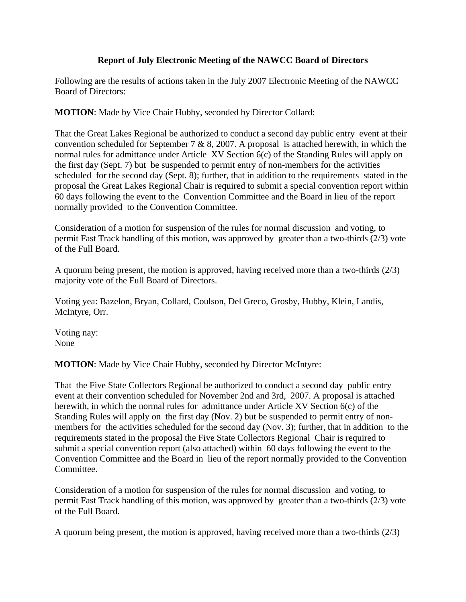## **Report of July Electronic Meeting of the NAWCC Board of Directors**

Following are the results of actions taken in the July 2007 Electronic Meeting of the NAWCC Board of Directors:

**MOTION**: Made by Vice Chair Hubby, seconded by Director Collard:

That the Great Lakes Regional be authorized to conduct a second day public entry event at their convention scheduled for September 7  $\&$  8, 2007. A proposal is attached herewith, in which the normal rules for admittance under Article XV Section 6(c) of the Standing Rules will apply on the first day (Sept. 7) but be suspended to permit entry of non-members for the activities scheduled for the second day (Sept. 8); further, that in addition to the requirements stated in the proposal the Great Lakes Regional Chair is required to submit a special convention report within 60 days following the event to the Convention Committee and the Board in lieu of the report normally provided to the Convention Committee.

Consideration of a motion for suspension of the rules for normal discussion and voting, to permit Fast Track handling of this motion, was approved by greater than a two-thirds (2/3) vote of the Full Board.

A quorum being present, the motion is approved, having received more than a two-thirds (2/3) majority vote of the Full Board of Directors.

Voting yea: Bazelon, Bryan, Collard, Coulson, Del Greco, Grosby, Hubby, Klein, Landis, McIntyre, Orr.

Voting nay: None

**MOTION**: Made by Vice Chair Hubby, seconded by Director McIntyre:

That the Five State Collectors Regional be authorized to conduct a second day public entry event at their convention scheduled for November 2nd and 3rd, 2007. A proposal is attached herewith, in which the normal rules for admittance under Article XV Section 6(c) of the Standing Rules will apply on the first day (Nov. 2) but be suspended to permit entry of nonmembers for the activities scheduled for the second day (Nov. 3); further, that in addition to the requirements stated in the proposal the Five State Collectors Regional Chair is required to submit a special convention report (also attached) within 60 days following the event to the Convention Committee and the Board in lieu of the report normally provided to the Convention Committee.

Consideration of a motion for suspension of the rules for normal discussion and voting, to permit Fast Track handling of this motion, was approved by greater than a two-thirds (2/3) vote of the Full Board.

A quorum being present, the motion is approved, having received more than a two-thirds (2/3)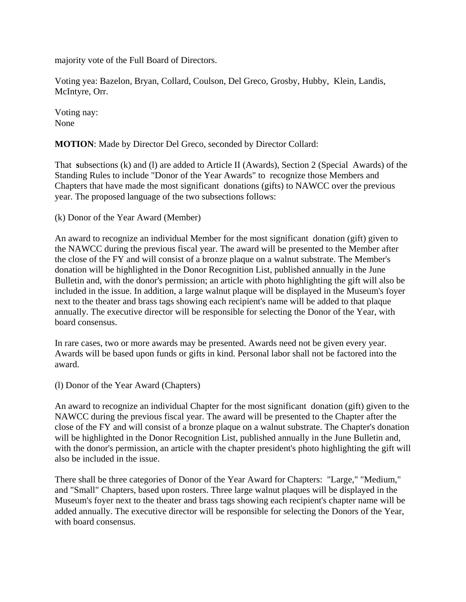majority vote of the Full Board of Directors.

Voting yea: Bazelon, Bryan, Collard, Coulson, Del Greco, Grosby, Hubby, Klein, Landis, McIntyre, Orr.

Voting nay: None

**MOTION**: Made by Director Del Greco, seconded by Director Collard:

That **s**ubsections (k) and (l) are added to Article II (Awards), Section 2 (Special Awards) of the Standing Rules to include "Donor of the Year Awards" to recognize those Members and Chapters that have made the most significant donations (gifts) to NAWCC over the previous year. The proposed language of the two subsections follows:

(k) Donor of the Year Award (Member)

An award to recognize an individual Member for the most significant donation (gift) given to the NAWCC during the previous fiscal year. The award will be presented to the Member after the close of the FY and will consist of a bronze plaque on a walnut substrate. The Member's donation will be highlighted in the Donor Recognition List, published annually in the June Bulletin and, with the donor's permission; an article with photo highlighting the gift will also be included in the issue. In addition, a large walnut plaque will be displayed in the Museum's foyer next to the theater and brass tags showing each recipient's name will be added to that plaque annually. The executive director will be responsible for selecting the Donor of the Year, with board consensus.

In rare cases, two or more awards may be presented. Awards need not be given every year. Awards will be based upon funds or gifts in kind. Personal labor shall not be factored into the award.

(l) Donor of the Year Award (Chapters)

An award to recognize an individual Chapter for the most significant donation (gift) given to the NAWCC during the previous fiscal year. The award will be presented to the Chapter after the close of the FY and will consist of a bronze plaque on a walnut substrate. The Chapter's donation will be highlighted in the Donor Recognition List, published annually in the June Bulletin and, with the donor's permission, an article with the chapter president's photo highlighting the gift will also be included in the issue.

There shall be three categories of Donor of the Year Award for Chapters: "Large," "Medium," and "Small" Chapters, based upon rosters. Three large walnut plaques will be displayed in the Museum's foyer next to the theater and brass tags showing each recipient's chapter name will be added annually. The executive director will be responsible for selecting the Donors of the Year, with board consensus.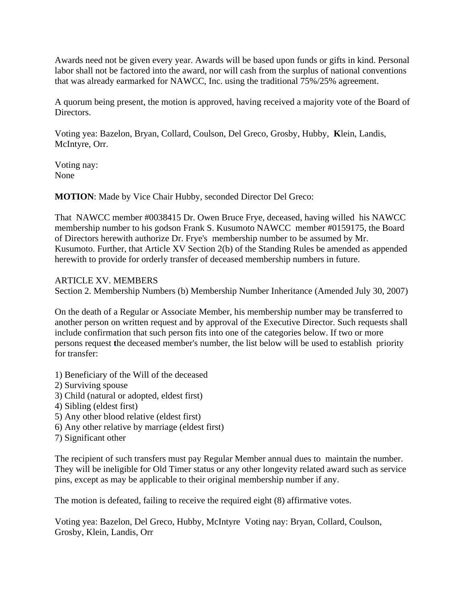Awards need not be given every year. Awards will be based upon funds or gifts in kind. Personal labor shall not be factored into the award, nor will cash from the surplus of national conventions that was already earmarked for NAWCC, Inc. using the traditional 75%/25% agreement.

A quorum being present, the motion is approved, having received a majority vote of the Board of Directors.

Voting yea: Bazelon, Bryan, Collard, Coulson, Del Greco, Grosby, Hubby, **K**lein, Landis, McIntyre, Orr.

Voting nay: None

**MOTION**: Made by Vice Chair Hubby, seconded Director Del Greco:

That NAWCC member #0038415 Dr. Owen Bruce Frye, deceased, having willed his NAWCC membership number to his godson Frank S. Kusumoto NAWCC member #0159175, the Board of Directors herewith authorize Dr. Frye's membership number to be assumed by Mr. Kusumoto. Further, that Article XV Section 2(b) of the Standing Rules be amended as appended herewith to provide for orderly transfer of deceased membership numbers in future.

## ARTICLE XV. MEMBERS

Section 2. Membership Numbers (b) Membership Number Inheritance (Amended July 30, 2007)

On the death of a Regular or Associate Member, his membership number may be transferred to another person on written request and by approval of the Executive Director. Such requests shall include confirmation that such person fits into one of the categories below. If two or more persons request **t**he deceased member's number, the list below will be used to establish priority for transfer:

- 1) Beneficiary of the Will of the deceased
- 2) Surviving spouse
- 3) Child (natural or adopted, eldest first)
- 4) Sibling (eldest first)
- 5) Any other blood relative (eldest first)
- 6) Any other relative by marriage (eldest first)
- 7) Significant other

The recipient of such transfers must pay Regular Member annual dues to maintain the number. They will be ineligible for Old Timer status or any other longevity related award such as service pins, except as may be applicable to their original membership number if any.

The motion is defeated, failing to receive the required eight (8) affirmative votes.

Voting yea: Bazelon, Del Greco, Hubby, McIntyreVoting nay: Bryan, Collard, Coulson, Grosby, Klein, Landis, Orr